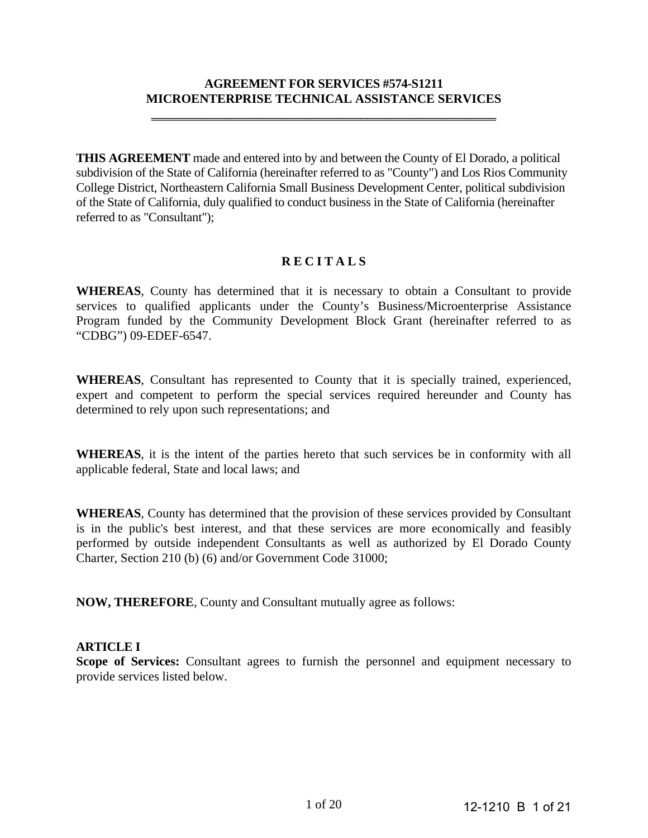# **AGREEMENT FOR SERVICES #574-S1211 MICROENTERPRISE TECHNICAL ASSISTANCE SERVICES**

**\_\_\_\_\_\_\_\_\_\_\_\_\_\_\_\_\_\_\_\_\_\_\_\_\_\_\_\_\_\_\_\_\_\_\_\_\_\_\_\_\_\_\_\_\_\_\_\_\_\_\_\_\_\_\_\_** 

**THIS AGREEMENT** made and entered into by and between the County of El Dorado, a political subdivision of the State of California (hereinafter referred to as "County") and Los Rios Community College District, Northeastern California Small Business Development Center, political subdivision of the State of California, duly qualified to conduct business in the State of California (hereinafter referred to as "Consultant");

### **R E C I T A L S**

**WHEREAS**, County has determined that it is necessary to obtain a Consultant to provide services to qualified applicants under the County's Business/Microenterprise Assistance Program funded by the Community Development Block Grant (hereinafter referred to as "CDBG") 09-EDEF-6547.

**WHEREAS**, Consultant has represented to County that it is specially trained, experienced, expert and competent to perform the special services required hereunder and County has determined to rely upon such representations; and

**WHEREAS**, it is the intent of the parties hereto that such services be in conformity with all applicable federal, State and local laws; and

**WHEREAS**, County has determined that the provision of these services provided by Consultant is in the public's best interest, and that these services are more economically and feasibly performed by outside independent Consultants as well as authorized by El Dorado County Charter, Section 210 (b) (6) and/or Government Code 31000;

**NOW, THEREFORE**, County and Consultant mutually agree as follows:

#### **ARTICLE I**

**Scope of Services:** Consultant agrees to furnish the personnel and equipment necessary to provide services listed below.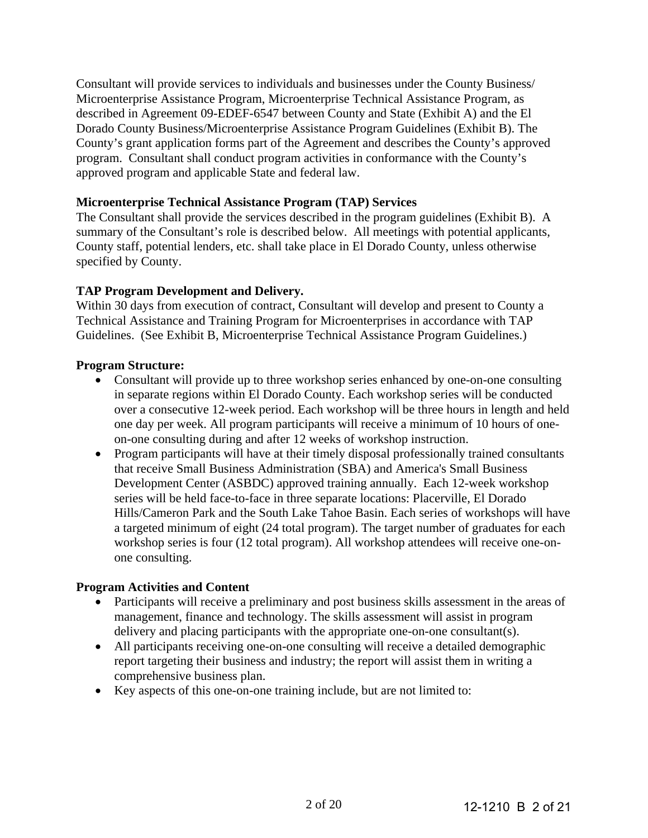Consultant will provide services to individuals and businesses under the County Business/ Microenterprise Assistance Program, Microenterprise Technical Assistance Program, as described in Agreement 09-EDEF-6547 between County and State (Exhibit A) and the El Dorado County Business/Microenterprise Assistance Program Guidelines (Exhibit B). The County's grant application forms part of the Agreement and describes the County's approved program. Consultant shall conduct program activities in conformance with the County's approved program and applicable State and federal law.

### **Microenterprise Technical Assistance Program (TAP) Services**

The Consultant shall provide the services described in the program guidelines (Exhibit B). A summary of the Consultant's role is described below. All meetings with potential applicants, County staff, potential lenders, etc. shall take place in El Dorado County, unless otherwise specified by County.

# **TAP Program Development and Delivery.**

Within 30 days from execution of contract, Consultant will develop and present to County a Technical Assistance and Training Program for Microenterprises in accordance with TAP Guidelines. (See Exhibit B, Microenterprise Technical Assistance Program Guidelines.)

### **Program Structure:**

- Consultant will provide up to three workshop series enhanced by one-on-one consulting in separate regions within El Dorado County. Each workshop series will be conducted over a consecutive 12-week period. Each workshop will be three hours in length and held one day per week. All program participants will receive a minimum of 10 hours of oneon-one consulting during and after 12 weeks of workshop instruction.
- Program participants will have at their timely disposal professionally trained consultants that receive Small Business Administration (SBA) and America's Small Business Development Center (ASBDC) approved training annually. Each 12-week workshop series will be held face-to-face in three separate locations: Placerville, El Dorado Hills/Cameron Park and the South Lake Tahoe Basin. Each series of workshops will have a targeted minimum of eight (24 total program). The target number of graduates for each workshop series is four (12 total program). All workshop attendees will receive one-onone consulting.

#### **Program Activities and Content**

- Participants will receive a preliminary and post business skills assessment in the areas of management, finance and technology. The skills assessment will assist in program delivery and placing participants with the appropriate one-on-one consultant(s).
- All participants receiving one-on-one consulting will receive a detailed demographic report targeting their business and industry; the report will assist them in writing a comprehensive business plan.
- Key aspects of this one-on-one training include, but are not limited to: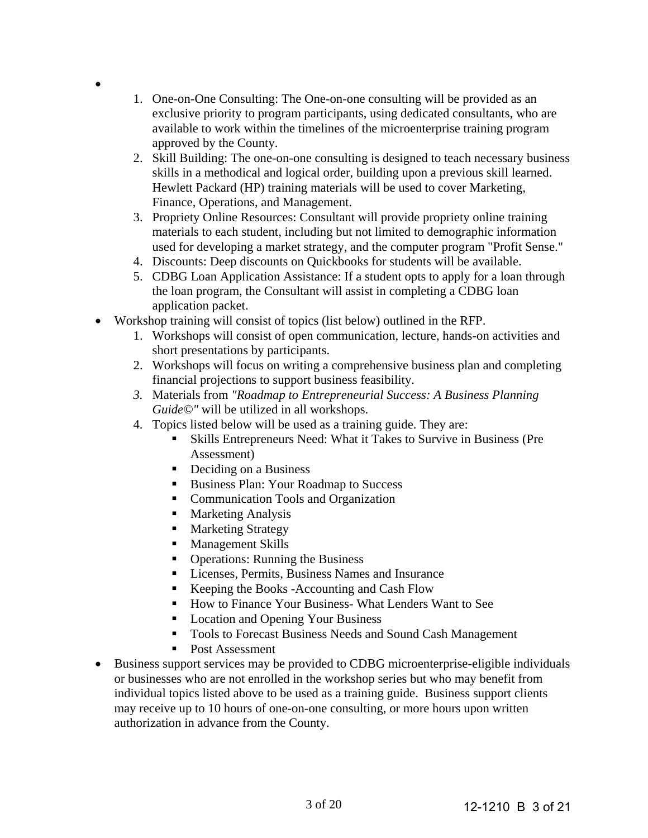- 1. One-on-One Consulting: The One-on-one consulting will be provided as an exclusive priority to program participants, using dedicated consultants, who are available to work within the timelines of the microenterprise training program approved by the County.
- 2. Skill Building: The one-on-one consulting is designed to teach necessary business skills in a methodical and logical order, building upon a previous skill learned. Hewlett Packard (HP) training materials will be used to cover Marketing, Finance, Operations, and Management.
- 3. Propriety Online Resources: Consultant will provide propriety online training materials to each student, including but not limited to demographic information used for developing a market strategy, and the computer program "Profit Sense."
- 4. Discounts: Deep discounts on Quickbooks for students will be available.
- 5. CDBG Loan Application Assistance: If a student opts to apply for a loan through the loan program, the Consultant will assist in completing a CDBG loan application packet.
- Workshop training will consist of topics (list below) outlined in the RFP.
	- 1. Workshops will consist of open communication, lecture, hands-on activities and short presentations by participants.
	- 2. Workshops will focus on writing a comprehensive business plan and completing financial projections to support business feasibility.
	- *3.* Materials from *"Roadmap to Entrepreneurial Success: A Business Planning Guide©"* will be utilized in all workshops.
	- 4. Topics listed below will be used as a training guide. They are:
		- Skills Entrepreneurs Need: What it Takes to Survive in Business (Pre Assessment)
		- Deciding on a Business
		- Business Plan: Your Roadmap to Success
		- Communication Tools and Organization
		- Marketing Analysis

 $\bullet$ 

- **Marketing Strategy**
- **Management Skills**
- Operations: Running the Business
- Licenses, Permits, Business Names and Insurance
- Keeping the Books -Accounting and Cash Flow
- How to Finance Your Business- What Lenders Want to See
- Location and Opening Your Business
- Tools to Forecast Business Needs and Sound Cash Management
- Post Assessment
- Business support services may be provided to CDBG microenterprise-eligible individuals or businesses who are not enrolled in the workshop series but who may benefit from individual topics listed above to be used as a training guide. Business support clients may receive up to 10 hours of one-on-one consulting, or more hours upon written authorization in advance from the County.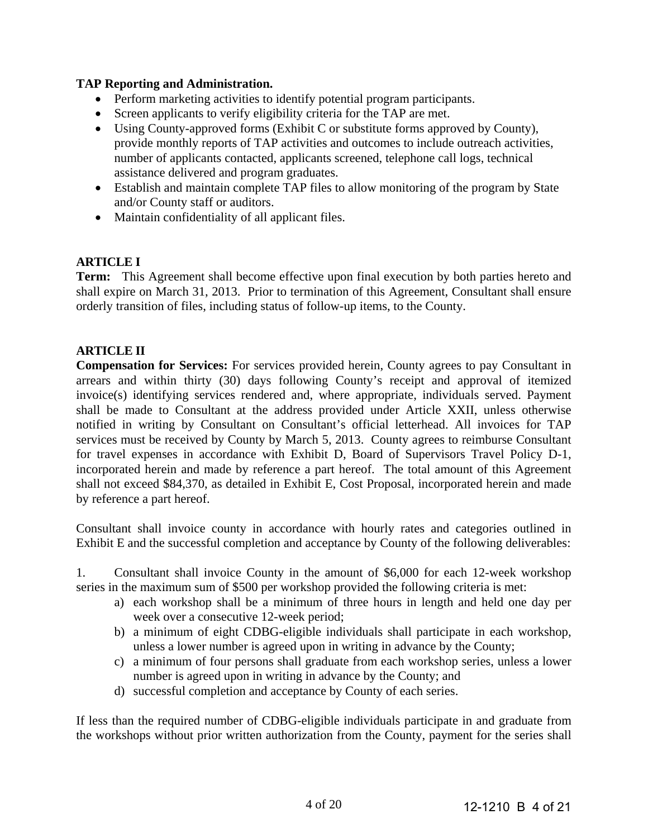# **TAP Reporting and Administration.**

- Perform marketing activities to identify potential program participants.
- Screen applicants to verify eligibility criteria for the TAP are met.
- Using County-approved forms (Exhibit C or substitute forms approved by County), provide monthly reports of TAP activities and outcomes to include outreach activities, number of applicants contacted, applicants screened, telephone call logs, technical assistance delivered and program graduates.
- Establish and maintain complete TAP files to allow monitoring of the program by State and/or County staff or auditors.
- Maintain confidentiality of all applicant files.

# **ARTICLE I**

**Term:** This Agreement shall become effective upon final execution by both parties hereto and shall expire on March 31, 2013. Prior to termination of this Agreement, Consultant shall ensure orderly transition of files, including status of follow-up items, to the County.

# **ARTICLE II**

**Compensation for Services:** For services provided herein, County agrees to pay Consultant in arrears and within thirty (30) days following County's receipt and approval of itemized invoice(s) identifying services rendered and, where appropriate, individuals served. Payment shall be made to Consultant at the address provided under Article XXII, unless otherwise notified in writing by Consultant on Consultant's official letterhead. All invoices for TAP services must be received by County by March 5, 2013. County agrees to reimburse Consultant for travel expenses in accordance with Exhibit D, Board of Supervisors Travel Policy D-1, incorporated herein and made by reference a part hereof. The total amount of this Agreement shall not exceed \$84,370, as detailed in Exhibit E, Cost Proposal, incorporated herein and made by reference a part hereof.

Consultant shall invoice county in accordance with hourly rates and categories outlined in Exhibit E and the successful completion and acceptance by County of the following deliverables:

1. Consultant shall invoice County in the amount of \$6,000 for each 12-week workshop series in the maximum sum of \$500 per workshop provided the following criteria is met:

- a) each workshop shall be a minimum of three hours in length and held one day per week over a consecutive 12-week period;
- b) a minimum of eight CDBG-eligible individuals shall participate in each workshop, unless a lower number is agreed upon in writing in advance by the County;
- c) a minimum of four persons shall graduate from each workshop series, unless a lower number is agreed upon in writing in advance by the County; and
- d) successful completion and acceptance by County of each series.

If less than the required number of CDBG-eligible individuals participate in and graduate from the workshops without prior written authorization from the County, payment for the series shall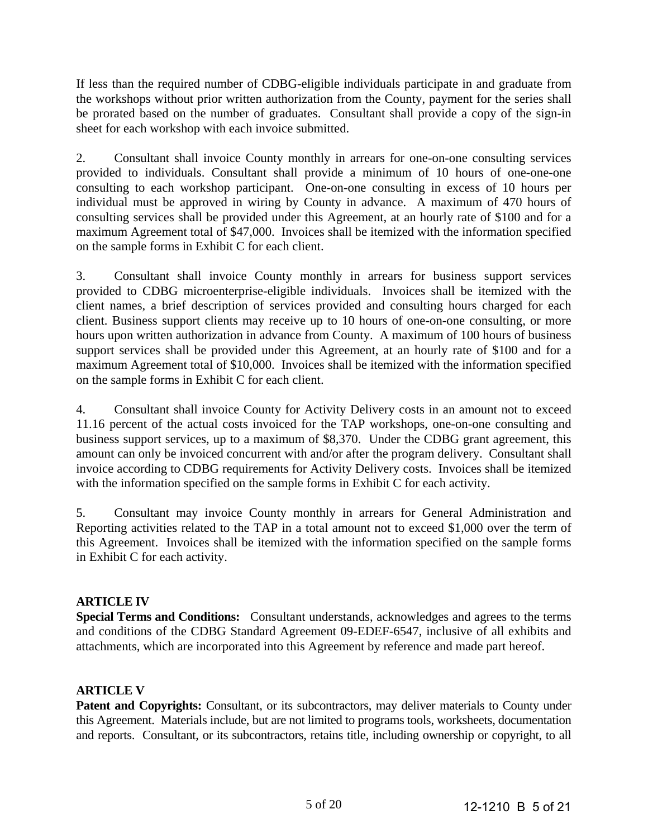If less than the required number of CDBG-eligible individuals participate in and graduate from the workshops without prior written authorization from the County, payment for the series shall be prorated based on the number of graduates. Consultant shall provide a copy of the sign-in sheet for each workshop with each invoice submitted.

2. Consultant shall invoice County monthly in arrears for one-on-one consulting services provided to individuals. Consultant shall provide a minimum of 10 hours of one-one-one consulting to each workshop participant. One-on-one consulting in excess of 10 hours per individual must be approved in wiring by County in advance. A maximum of 470 hours of consulting services shall be provided under this Agreement, at an hourly rate of \$100 and for a maximum Agreement total of \$47,000. Invoices shall be itemized with the information specified on the sample forms in Exhibit C for each client.

3. Consultant shall invoice County monthly in arrears for business support services provided to CDBG microenterprise-eligible individuals. Invoices shall be itemized with the client names, a brief description of services provided and consulting hours charged for each client. Business support clients may receive up to 10 hours of one-on-one consulting, or more hours upon written authorization in advance from County. A maximum of 100 hours of business support services shall be provided under this Agreement, at an hourly rate of \$100 and for a maximum Agreement total of \$10,000. Invoices shall be itemized with the information specified on the sample forms in Exhibit C for each client.

4. Consultant shall invoice County for Activity Delivery costs in an amount not to exceed 11.16 percent of the actual costs invoiced for the TAP workshops, one-on-one consulting and business support services, up to a maximum of \$8,370. Under the CDBG grant agreement, this amount can only be invoiced concurrent with and/or after the program delivery. Consultant shall invoice according to CDBG requirements for Activity Delivery costs. Invoices shall be itemized with the information specified on the sample forms in Exhibit C for each activity.

5. Consultant may invoice County monthly in arrears for General Administration and Reporting activities related to the TAP in a total amount not to exceed \$1,000 over the term of this Agreement. Invoices shall be itemized with the information specified on the sample forms in Exhibit C for each activity.

# **ARTICLE IV**

**Special Terms and Conditions:** Consultant understands, acknowledges and agrees to the terms and conditions of the CDBG Standard Agreement 09-EDEF-6547, inclusive of all exhibits and attachments, which are incorporated into this Agreement by reference and made part hereof.

# **ARTICLE V**

Patent and Copyrights: Consultant, or its subcontractors, may deliver materials to County under this Agreement. Materials include, but are not limited to programs tools, worksheets, documentation and reports. Consultant, or its subcontractors, retains title, including ownership or copyright, to all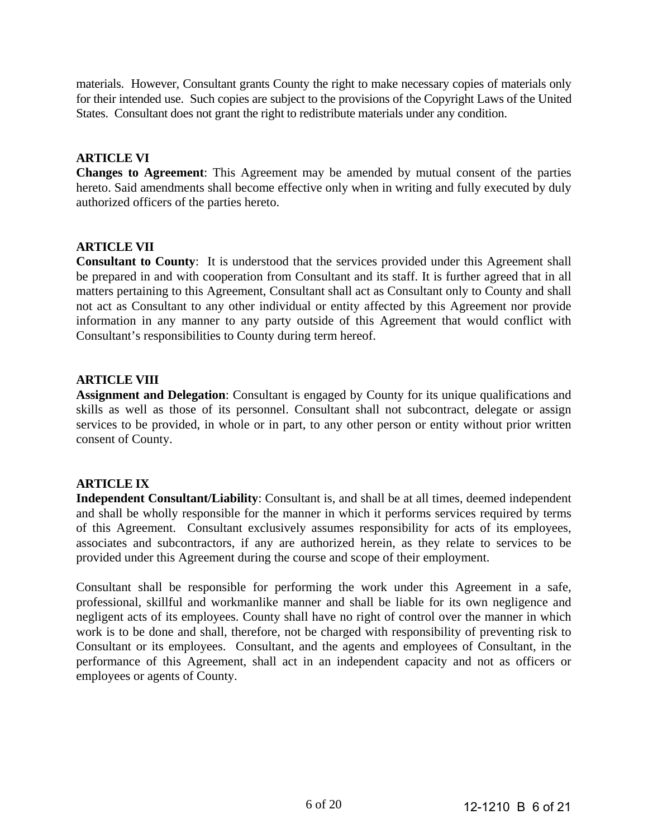materials. However, Consultant grants County the right to make necessary copies of materials only for their intended use. Such copies are subject to the provisions of the Copyright Laws of the United States. Consultant does not grant the right to redistribute materials under any condition.

# **ARTICLE VI**

**Changes to Agreement**: This Agreement may be amended by mutual consent of the parties hereto. Said amendments shall become effective only when in writing and fully executed by duly authorized officers of the parties hereto.

# **ARTICLE VII**

**Consultant to County**: It is understood that the services provided under this Agreement shall be prepared in and with cooperation from Consultant and its staff. It is further agreed that in all matters pertaining to this Agreement, Consultant shall act as Consultant only to County and shall not act as Consultant to any other individual or entity affected by this Agreement nor provide information in any manner to any party outside of this Agreement that would conflict with Consultant's responsibilities to County during term hereof.

# **ARTICLE VIII**

**Assignment and Delegation**: Consultant is engaged by County for its unique qualifications and skills as well as those of its personnel. Consultant shall not subcontract, delegate or assign services to be provided, in whole or in part, to any other person or entity without prior written consent of County.

# **ARTICLE IX**

**Independent Consultant/Liability**: Consultant is, and shall be at all times, deemed independent and shall be wholly responsible for the manner in which it performs services required by terms of this Agreement. Consultant exclusively assumes responsibility for acts of its employees, associates and subcontractors, if any are authorized herein, as they relate to services to be provided under this Agreement during the course and scope of their employment.

Consultant shall be responsible for performing the work under this Agreement in a safe, professional, skillful and workmanlike manner and shall be liable for its own negligence and negligent acts of its employees. County shall have no right of control over the manner in which work is to be done and shall, therefore, not be charged with responsibility of preventing risk to Consultant or its employees. Consultant, and the agents and employees of Consultant, in the performance of this Agreement, shall act in an independent capacity and not as officers or employees or agents of County.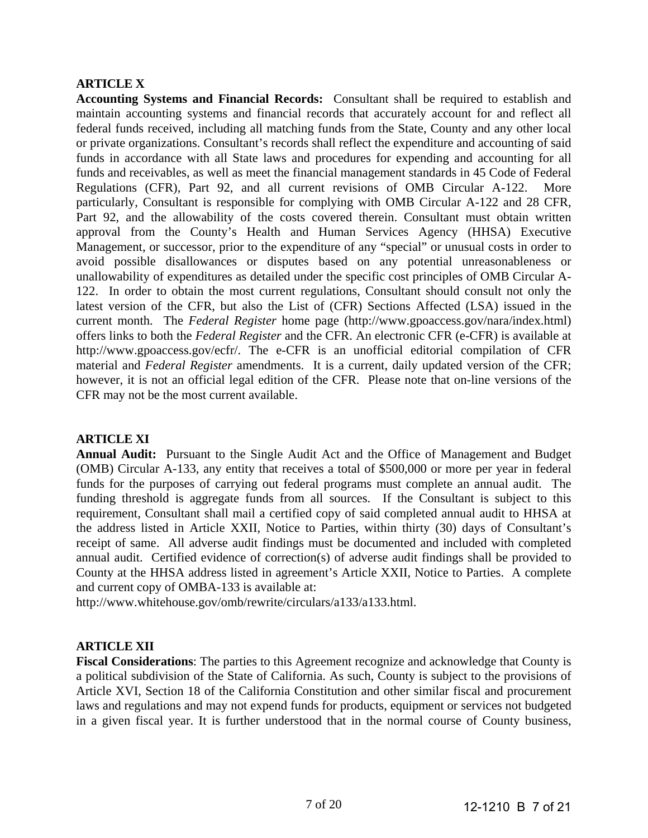# **ARTICLE X**

**Accounting Systems and Financial Records:** Consultant shall be required to establish and maintain accounting systems and financial records that accurately account for and reflect all federal funds received, including all matching funds from the State, County and any other local or private organizations. Consultant's records shall reflect the expenditure and accounting of said funds in accordance with all State laws and procedures for expending and accounting for all funds and receivables, as well as meet the financial management standards in 45 Code of Federal Regulations (CFR), Part 92, and all current revisions of OMB Circular A-122. More particularly, Consultant is responsible for complying with OMB Circular A-122 and 28 CFR, Part 92, and the allowability of the costs covered therein. Consultant must obtain written approval from the County's Health and Human Services Agency (HHSA) Executive Management, or successor, prior to the expenditure of any "special" or unusual costs in order to avoid possible disallowances or disputes based on any potential unreasonableness or unallowability of expenditures as detailed under the specific cost principles of OMB Circular A-122. In order to obtain the most current regulations, Consultant should consult not only the latest version of the CFR, but also the List of (CFR) Sections Affected (LSA) issued in the current month. The *Federal Register* home page (http://www.gpoaccess.gov/nara/index.html) offers links to both the *Federal Register* and the CFR. An electronic CFR (e-CFR) is available at http://www.gpoaccess.gov/ecfr/. The e-CFR is an unofficial editorial compilation of CFR material and *Federal Register* amendments. It is a current, daily updated version of the CFR; however, it is not an official legal edition of the CFR. Please note that on-line versions of the CFR may not be the most current available.

#### **ARTICLE XI**

**Annual Audit:** Pursuant to the Single Audit Act and the Office of Management and Budget (OMB) Circular A-133, any entity that receives a total of \$500,000 or more per year in federal funds for the purposes of carrying out federal programs must complete an annual audit. The funding threshold is aggregate funds from all sources. If the Consultant is subject to this requirement, Consultant shall mail a certified copy of said completed annual audit to HHSA at the address listed in Article XXII, Notice to Parties, within thirty (30) days of Consultant's receipt of same. All adverse audit findings must be documented and included with completed annual audit. Certified evidence of correction(s) of adverse audit findings shall be provided to County at the HHSA address listed in agreement's Article XXII, Notice to Parties. A complete and current copy of OMBA-133 is available at:

http://www.whitehouse.gov/omb/rewrite/circulars/a133/a133.html.

#### **ARTICLE XII**

**Fiscal Considerations**: The parties to this Agreement recognize and acknowledge that County is a political subdivision of the State of California. As such, County is subject to the provisions of Article XVI, Section 18 of the California Constitution and other similar fiscal and procurement laws and regulations and may not expend funds for products, equipment or services not budgeted in a given fiscal year. It is further understood that in the normal course of County business,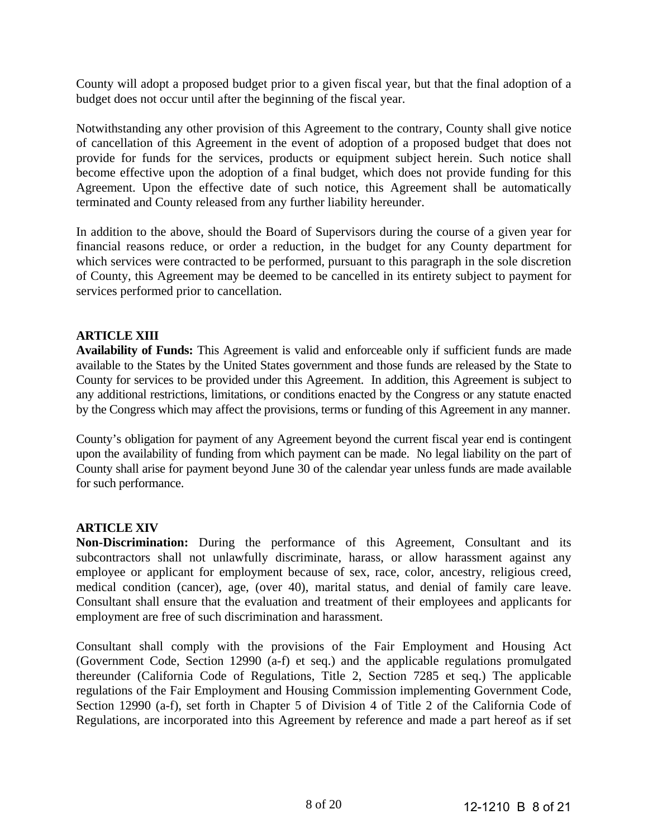County will adopt a proposed budget prior to a given fiscal year, but that the final adoption of a budget does not occur until after the beginning of the fiscal year.

Notwithstanding any other provision of this Agreement to the contrary, County shall give notice of cancellation of this Agreement in the event of adoption of a proposed budget that does not provide for funds for the services, products or equipment subject herein. Such notice shall become effective upon the adoption of a final budget, which does not provide funding for this Agreement. Upon the effective date of such notice, this Agreement shall be automatically terminated and County released from any further liability hereunder.

In addition to the above, should the Board of Supervisors during the course of a given year for financial reasons reduce, or order a reduction, in the budget for any County department for which services were contracted to be performed, pursuant to this paragraph in the sole discretion of County, this Agreement may be deemed to be cancelled in its entirety subject to payment for services performed prior to cancellation.

### **ARTICLE XIII**

**Availability of Funds:** This Agreement is valid and enforceable only if sufficient funds are made available to the States by the United States government and those funds are released by the State to County for services to be provided under this Agreement. In addition, this Agreement is subject to any additional restrictions, limitations, or conditions enacted by the Congress or any statute enacted by the Congress which may affect the provisions, terms or funding of this Agreement in any manner.

County's obligation for payment of any Agreement beyond the current fiscal year end is contingent upon the availability of funding from which payment can be made. No legal liability on the part of County shall arise for payment beyond June 30 of the calendar year unless funds are made available for such performance.

#### **ARTICLE XIV**

**Non-Discrimination:** During the performance of this Agreement, Consultant and its subcontractors shall not unlawfully discriminate, harass, or allow harassment against any employee or applicant for employment because of sex, race, color, ancestry, religious creed, medical condition (cancer), age, (over 40), marital status, and denial of family care leave. Consultant shall ensure that the evaluation and treatment of their employees and applicants for employment are free of such discrimination and harassment.

Consultant shall comply with the provisions of the Fair Employment and Housing Act (Government Code, Section 12990 (a-f) et seq.) and the applicable regulations promulgated thereunder (California Code of Regulations, Title 2, Section 7285 et seq.) The applicable regulations of the Fair Employment and Housing Commission implementing Government Code, Section 12990 (a-f), set forth in Chapter 5 of Division 4 of Title 2 of the California Code of Regulations, are incorporated into this Agreement by reference and made a part hereof as if set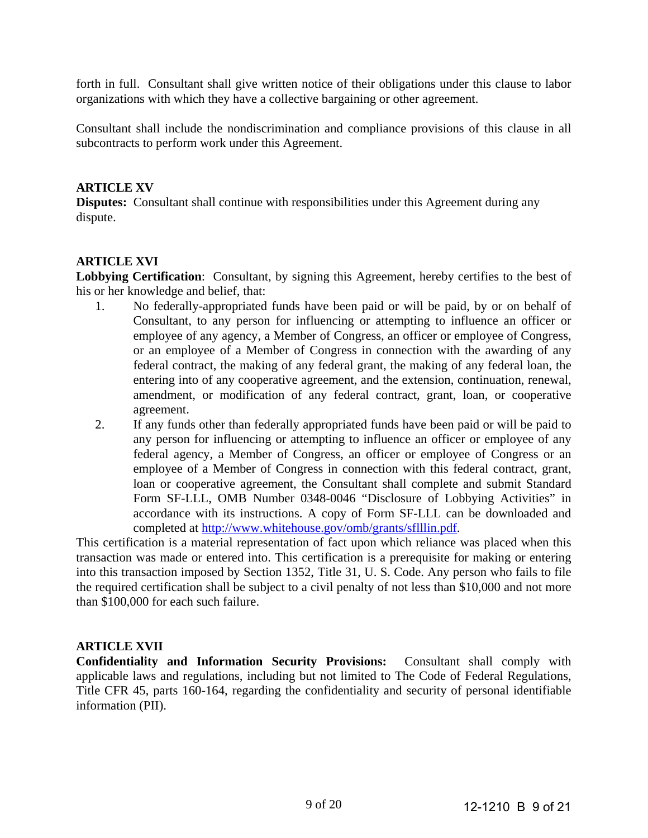forth in full. Consultant shall give written notice of their obligations under this clause to labor organizations with which they have a collective bargaining or other agreement.

Consultant shall include the nondiscrimination and compliance provisions of this clause in all subcontracts to perform work under this Agreement.

### **ARTICLE XV**

**Disputes:** Consultant shall continue with responsibilities under this Agreement during any dispute.

### **ARTICLE XVI**

**Lobbying Certification**: Consultant, by signing this Agreement, hereby certifies to the best of his or her knowledge and belief, that:

- 1. No federally-appropriated funds have been paid or will be paid, by or on behalf of Consultant, to any person for influencing or attempting to influence an officer or employee of any agency, a Member of Congress, an officer or employee of Congress, or an employee of a Member of Congress in connection with the awarding of any federal contract, the making of any federal grant, the making of any federal loan, the entering into of any cooperative agreement, and the extension, continuation, renewal, amendment, or modification of any federal contract, grant, loan, or cooperative agreement.
- 2. If any funds other than federally appropriated funds have been paid or will be paid to any person for influencing or attempting to influence an officer or employee of any federal agency, a Member of Congress, an officer or employee of Congress or an employee of a Member of Congress in connection with this federal contract, grant, loan or cooperative agreement, the Consultant shall complete and submit Standard Form SF-LLL, OMB Number 0348-0046 "Disclosure of Lobbying Activities" in accordance with its instructions. A copy of Form SF-LLL can be downloaded and completed at http://www.whitehouse.gov/omb/grants/sflllin.pdf.

This certification is a material representation of fact upon which reliance was placed when this transaction was made or entered into. This certification is a prerequisite for making or entering into this transaction imposed by Section 1352, Title 31, U. S. Code. Any person who fails to file the required certification shall be subject to a civil penalty of not less than \$10,000 and not more than \$100,000 for each such failure.

# **ARTICLE XVII**

**Confidentiality and Information Security Provisions:** Consultant shall comply with applicable laws and regulations, including but not limited to The Code of Federal Regulations, Title CFR 45, parts 160-164, regarding the confidentiality and security of personal identifiable information (PII).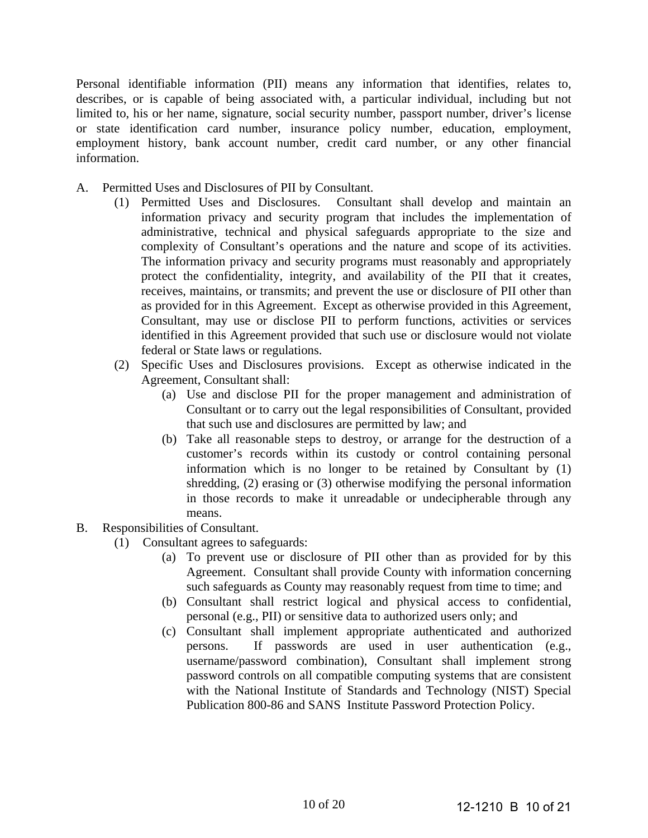Personal identifiable information (PII) means any information that identifies, relates to, describes, or is capable of being associated with, a particular individual, including but not limited to, his or her name, signature, social security number, passport number, driver's license or state identification card number, insurance policy number, education, employment, employment history, bank account number, credit card number, or any other financial information.

- A. Permitted Uses and Disclosures of PII by Consultant.
	- (1) Permitted Uses and Disclosures. Consultant shall develop and maintain an information privacy and security program that includes the implementation of administrative, technical and physical safeguards appropriate to the size and complexity of Consultant's operations and the nature and scope of its activities. The information privacy and security programs must reasonably and appropriately protect the confidentiality, integrity, and availability of the PII that it creates, receives, maintains, or transmits; and prevent the use or disclosure of PII other than as provided for in this Agreement. Except as otherwise provided in this Agreement, Consultant, may use or disclose PII to perform functions, activities or services identified in this Agreement provided that such use or disclosure would not violate federal or State laws or regulations.
	- (2) Specific Uses and Disclosures provisions. Except as otherwise indicated in the Agreement, Consultant shall:
		- (a) Use and disclose PII for the proper management and administration of Consultant or to carry out the legal responsibilities of Consultant, provided that such use and disclosures are permitted by law; and
		- (b) Take all reasonable steps to destroy, or arrange for the destruction of a customer's records within its custody or control containing personal information which is no longer to be retained by Consultant by (1) shredding, (2) erasing or (3) otherwise modifying the personal information in those records to make it unreadable or undecipherable through any means.
- B. Responsibilities of Consultant.
	- (1) Consultant agrees to safeguards:
		- (a) To prevent use or disclosure of PII other than as provided for by this Agreement. Consultant shall provide County with information concerning such safeguards as County may reasonably request from time to time; and
		- (b) Consultant shall restrict logical and physical access to confidential, personal (e.g., PII) or sensitive data to authorized users only; and
		- (c) Consultant shall implement appropriate authenticated and authorized persons. If passwords are used in user authentication (e.g., username/password combination), Consultant shall implement strong password controls on all compatible computing systems that are consistent with the National Institute of Standards and Technology (NIST) Special Publication 800-86 and SANS Institute Password Protection Policy.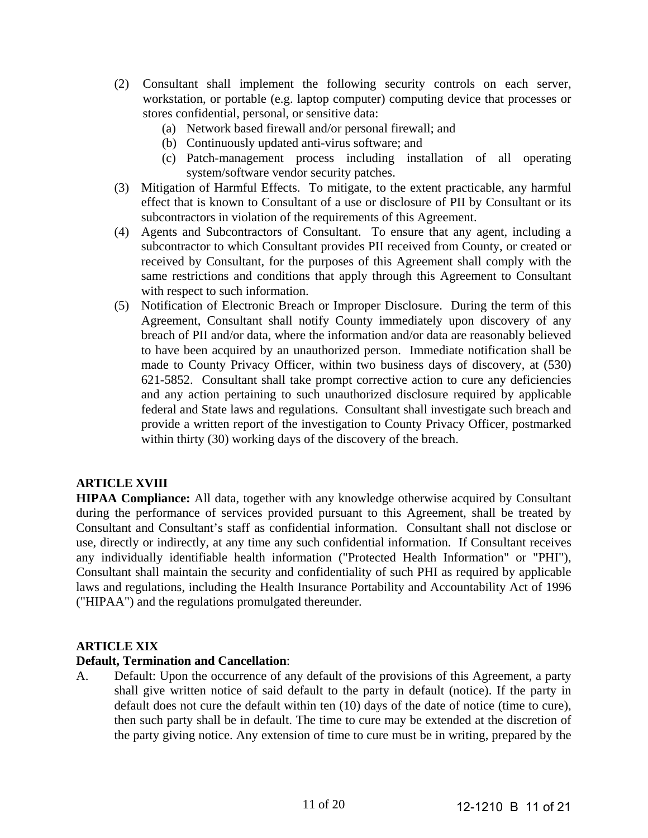- (2) Consultant shall implement the following security controls on each server, workstation, or portable (e.g. laptop computer) computing device that processes or stores confidential, personal, or sensitive data:
	- (a) Network based firewall and/or personal firewall; and
	- (b) Continuously updated anti-virus software; and
	- (c) Patch-management process including installation of all operating system/software vendor security patches.
- (3) Mitigation of Harmful Effects. To mitigate, to the extent practicable, any harmful effect that is known to Consultant of a use or disclosure of PII by Consultant or its subcontractors in violation of the requirements of this Agreement.
- (4) Agents and Subcontractors of Consultant. To ensure that any agent, including a subcontractor to which Consultant provides PII received from County, or created or received by Consultant, for the purposes of this Agreement shall comply with the same restrictions and conditions that apply through this Agreement to Consultant with respect to such information.
- (5) Notification of Electronic Breach or Improper Disclosure. During the term of this Agreement, Consultant shall notify County immediately upon discovery of any breach of PII and/or data, where the information and/or data are reasonably believed to have been acquired by an unauthorized person. Immediate notification shall be made to County Privacy Officer, within two business days of discovery, at (530) 621-5852. Consultant shall take prompt corrective action to cure any deficiencies and any action pertaining to such unauthorized disclosure required by applicable federal and State laws and regulations. Consultant shall investigate such breach and provide a written report of the investigation to County Privacy Officer, postmarked within thirty (30) working days of the discovery of the breach.

# **ARTICLE XVIII**

**HIPAA Compliance:** All data, together with any knowledge otherwise acquired by Consultant during the performance of services provided pursuant to this Agreement, shall be treated by Consultant and Consultant's staff as confidential information. Consultant shall not disclose or use, directly or indirectly, at any time any such confidential information. If Consultant receives any individually identifiable health information ("Protected Health Information" or "PHI"), Consultant shall maintain the security and confidentiality of such PHI as required by applicable laws and regulations, including the Health Insurance Portability and Accountability Act of 1996 ("HIPAA") and the regulations promulgated thereunder.

# **ARTICLE XIX**

# **Default, Termination and Cancellation**:

A. Default: Upon the occurrence of any default of the provisions of this Agreement, a party shall give written notice of said default to the party in default (notice). If the party in default does not cure the default within ten (10) days of the date of notice (time to cure), then such party shall be in default. The time to cure may be extended at the discretion of the party giving notice. Any extension of time to cure must be in writing, prepared by the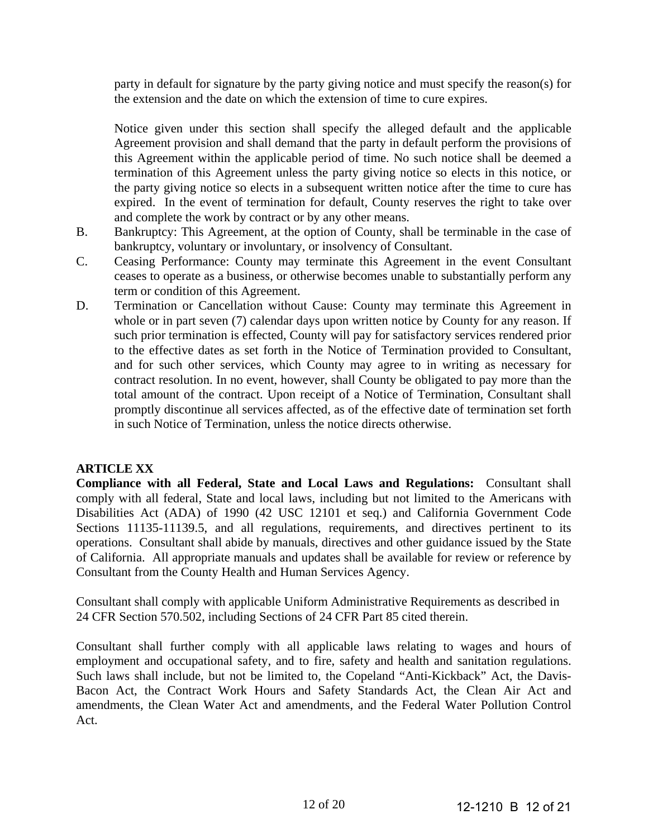party in default for signature by the party giving notice and must specify the reason(s) for the extension and the date on which the extension of time to cure expires.

Notice given under this section shall specify the alleged default and the applicable Agreement provision and shall demand that the party in default perform the provisions of this Agreement within the applicable period of time. No such notice shall be deemed a termination of this Agreement unless the party giving notice so elects in this notice, or the party giving notice so elects in a subsequent written notice after the time to cure has expired. In the event of termination for default, County reserves the right to take over and complete the work by contract or by any other means.

- B. Bankruptcy: This Agreement, at the option of County, shall be terminable in the case of bankruptcy, voluntary or involuntary, or insolvency of Consultant.
- C. Ceasing Performance: County may terminate this Agreement in the event Consultant ceases to operate as a business, or otherwise becomes unable to substantially perform any term or condition of this Agreement.
- D. Termination or Cancellation without Cause: County may terminate this Agreement in whole or in part seven (7) calendar days upon written notice by County for any reason. If such prior termination is effected, County will pay for satisfactory services rendered prior to the effective dates as set forth in the Notice of Termination provided to Consultant, and for such other services, which County may agree to in writing as necessary for contract resolution. In no event, however, shall County be obligated to pay more than the total amount of the contract. Upon receipt of a Notice of Termination, Consultant shall promptly discontinue all services affected, as of the effective date of termination set forth in such Notice of Termination, unless the notice directs otherwise.

# **ARTICLE XX**

**Compliance with all Federal, State and Local Laws and Regulations:** Consultant shall comply with all federal, State and local laws, including but not limited to the Americans with Disabilities Act (ADA) of 1990 (42 USC 12101 et seq.) and California Government Code Sections 11135-11139.5, and all regulations, requirements, and directives pertinent to its operations. Consultant shall abide by manuals, directives and other guidance issued by the State of California. All appropriate manuals and updates shall be available for review or reference by Consultant from the County Health and Human Services Agency.

Consultant shall comply with applicable Uniform Administrative Requirements as described in 24 CFR Section 570.502, including Sections of 24 CFR Part 85 cited therein.

Consultant shall further comply with all applicable laws relating to wages and hours of employment and occupational safety, and to fire, safety and health and sanitation regulations. Such laws shall include, but not be limited to, the Copeland "Anti-Kickback" Act, the Davis-Bacon Act, the Contract Work Hours and Safety Standards Act, the Clean Air Act and amendments, the Clean Water Act and amendments, and the Federal Water Pollution Control Act.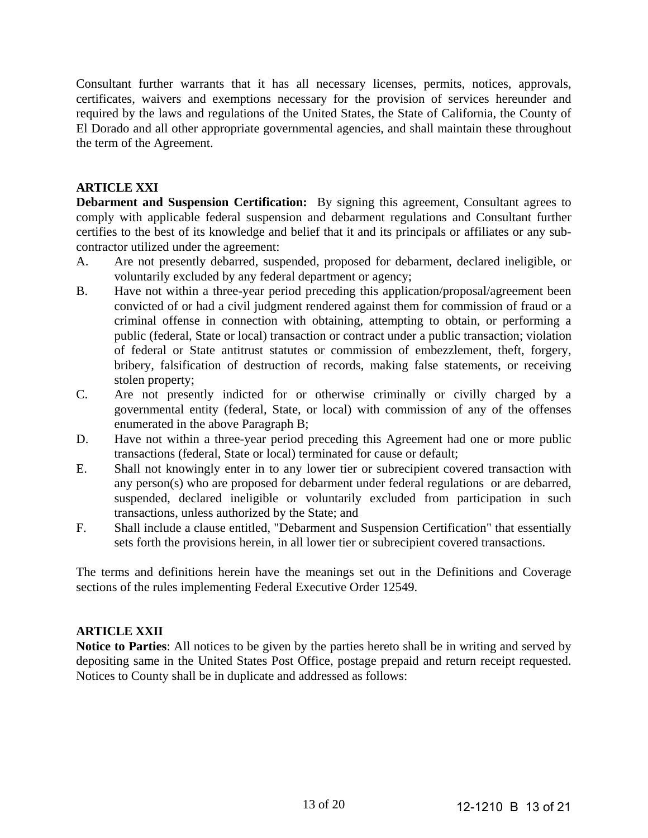Consultant further warrants that it has all necessary licenses, permits, notices, approvals, certificates, waivers and exemptions necessary for the provision of services hereunder and required by the laws and regulations of the United States, the State of California, the County of El Dorado and all other appropriate governmental agencies, and shall maintain these throughout the term of the Agreement.

### **ARTICLE XXI**

**Debarment and Suspension Certification:** By signing this agreement, Consultant agrees to comply with applicable federal suspension and debarment regulations and Consultant further certifies to the best of its knowledge and belief that it and its principals or affiliates or any subcontractor utilized under the agreement:

- A. Are not presently debarred, suspended, proposed for debarment, declared ineligible, or voluntarily excluded by any federal department or agency;
- B. Have not within a three-year period preceding this application/proposal/agreement been convicted of or had a civil judgment rendered against them for commission of fraud or a criminal offense in connection with obtaining, attempting to obtain, or performing a public (federal, State or local) transaction or contract under a public transaction; violation of federal or State antitrust statutes or commission of embezzlement, theft, forgery, bribery, falsification of destruction of records, making false statements, or receiving stolen property;
- C. Are not presently indicted for or otherwise criminally or civilly charged by a governmental entity (federal, State, or local) with commission of any of the offenses enumerated in the above Paragraph B;
- D. Have not within a three-year period preceding this Agreement had one or more public transactions (federal, State or local) terminated for cause or default;
- E. Shall not knowingly enter in to any lower tier or subrecipient covered transaction with any person(s) who are proposed for debarment under federal regulations or are debarred, suspended, declared ineligible or voluntarily excluded from participation in such transactions, unless authorized by the State; and
- F. Shall include a clause entitled, "Debarment and Suspension Certification" that essentially sets forth the provisions herein, in all lower tier or subrecipient covered transactions.

The terms and definitions herein have the meanings set out in the Definitions and Coverage sections of the rules implementing Federal Executive Order 12549.

#### **ARTICLE XXII**

**Notice to Parties**: All notices to be given by the parties hereto shall be in writing and served by depositing same in the United States Post Office, postage prepaid and return receipt requested. Notices to County shall be in duplicate and addressed as follows: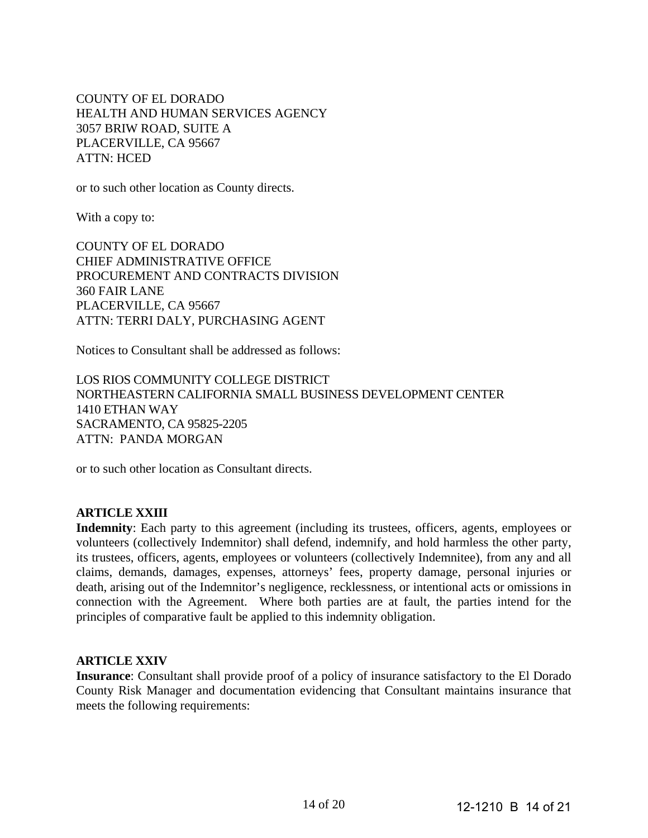COUNTY OF EL DORADO HEALTH AND HUMAN SERVICES AGENCY 3057 BRIW ROAD, SUITE A PLACERVILLE, CA 95667 ATTN: HCED

or to such other location as County directs.

With a copy to:

COUNTY OF EL DORADO CHIEF ADMINISTRATIVE OFFICE PROCUREMENT AND CONTRACTS DIVISION 360 FAIR LANE PLACERVILLE, CA 95667 ATTN: TERRI DALY, PURCHASING AGENT

Notices to Consultant shall be addressed as follows:

LOS RIOS COMMUNITY COLLEGE DISTRICT NORTHEASTERN CALIFORNIA SMALL BUSINESS DEVELOPMENT CENTER 1410 ETHAN WAY SACRAMENTO, CA 95825-2205 ATTN: PANDA MORGAN

or to such other location as Consultant directs.

### **ARTICLE XXIII**

**Indemnity**: Each party to this agreement (including its trustees, officers, agents, employees or volunteers (collectively Indemnitor) shall defend, indemnify, and hold harmless the other party, its trustees, officers, agents, employees or volunteers (collectively Indemnitee), from any and all claims, demands, damages, expenses, attorneys' fees, property damage, personal injuries or death, arising out of the Indemnitor's negligence, recklessness, or intentional acts or omissions in connection with the Agreement. Where both parties are at fault, the parties intend for the principles of comparative fault be applied to this indemnity obligation.

#### **ARTICLE XXIV**

**Insurance**: Consultant shall provide proof of a policy of insurance satisfactory to the El Dorado County Risk Manager and documentation evidencing that Consultant maintains insurance that meets the following requirements: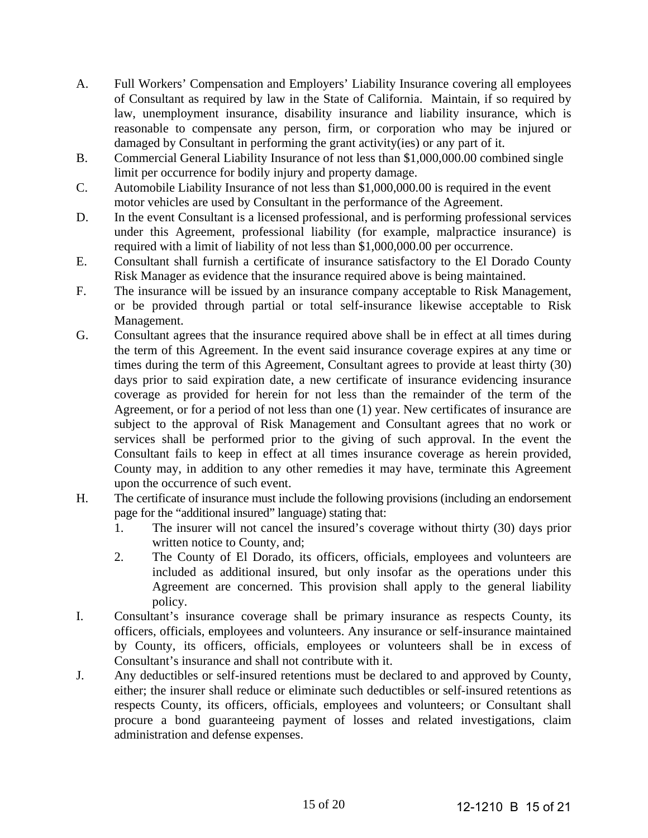- A. Full Workers' Compensation and Employers' Liability Insurance covering all employees of Consultant as required by law in the State of California. Maintain, if so required by law, unemployment insurance, disability insurance and liability insurance, which is reasonable to compensate any person, firm, or corporation who may be injured or damaged by Consultant in performing the grant activity(ies) or any part of it.
- B. Commercial General Liability Insurance of not less than \$1,000,000.00 combined single limit per occurrence for bodily injury and property damage.
- C. Automobile Liability Insurance of not less than \$1,000,000.00 is required in the event motor vehicles are used by Consultant in the performance of the Agreement.
- D. In the event Consultant is a licensed professional, and is performing professional services under this Agreement, professional liability (for example, malpractice insurance) is required with a limit of liability of not less than \$1,000,000.00 per occurrence.
- E. Consultant shall furnish a certificate of insurance satisfactory to the El Dorado County Risk Manager as evidence that the insurance required above is being maintained.
- F. The insurance will be issued by an insurance company acceptable to Risk Management, or be provided through partial or total self-insurance likewise acceptable to Risk Management.
- G. Consultant agrees that the insurance required above shall be in effect at all times during the term of this Agreement. In the event said insurance coverage expires at any time or times during the term of this Agreement, Consultant agrees to provide at least thirty (30) days prior to said expiration date, a new certificate of insurance evidencing insurance coverage as provided for herein for not less than the remainder of the term of the Agreement, or for a period of not less than one (1) year. New certificates of insurance are subject to the approval of Risk Management and Consultant agrees that no work or services shall be performed prior to the giving of such approval. In the event the Consultant fails to keep in effect at all times insurance coverage as herein provided, County may, in addition to any other remedies it may have, terminate this Agreement upon the occurrence of such event.
- H. The certificate of insurance must include the following provisions (including an endorsement page for the "additional insured" language) stating that:
	- 1. The insurer will not cancel the insured's coverage without thirty (30) days prior written notice to County, and;
	- 2. The County of El Dorado, its officers, officials, employees and volunteers are included as additional insured, but only insofar as the operations under this Agreement are concerned. This provision shall apply to the general liability policy.
- I. Consultant's insurance coverage shall be primary insurance as respects County, its officers, officials, employees and volunteers. Any insurance or self-insurance maintained by County, its officers, officials, employees or volunteers shall be in excess of Consultant's insurance and shall not contribute with it.
- J. Any deductibles or self-insured retentions must be declared to and approved by County, either; the insurer shall reduce or eliminate such deductibles or self-insured retentions as respects County, its officers, officials, employees and volunteers; or Consultant shall procure a bond guaranteeing payment of losses and related investigations, claim administration and defense expenses.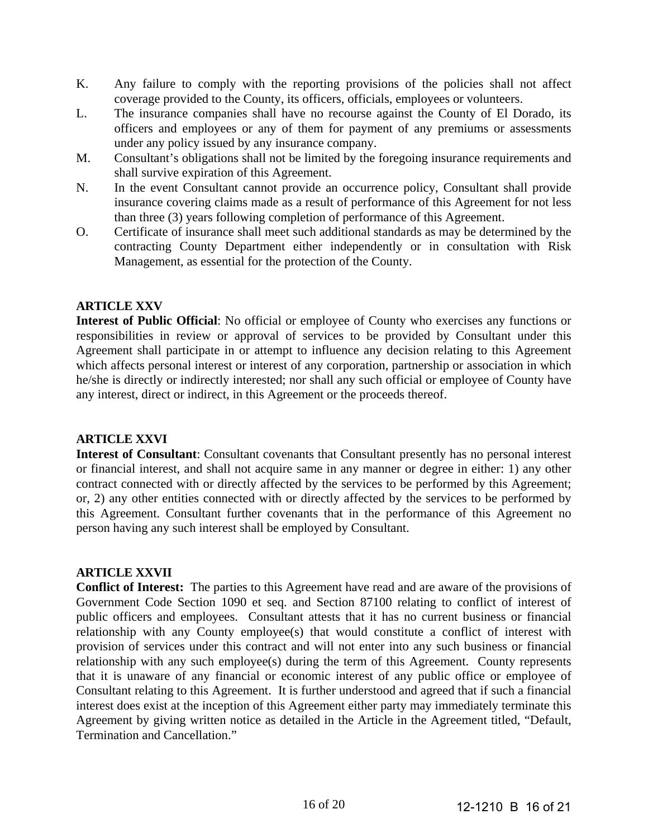- K. Any failure to comply with the reporting provisions of the policies shall not affect coverage provided to the County, its officers, officials, employees or volunteers.
- L. The insurance companies shall have no recourse against the County of El Dorado, its officers and employees or any of them for payment of any premiums or assessments under any policy issued by any insurance company.
- M. Consultant's obligations shall not be limited by the foregoing insurance requirements and shall survive expiration of this Agreement.
- N. In the event Consultant cannot provide an occurrence policy, Consultant shall provide insurance covering claims made as a result of performance of this Agreement for not less than three (3) years following completion of performance of this Agreement.
- O. Certificate of insurance shall meet such additional standards as may be determined by the contracting County Department either independently or in consultation with Risk Management, as essential for the protection of the County.

# **ARTICLE XXV**

**Interest of Public Official**: No official or employee of County who exercises any functions or responsibilities in review or approval of services to be provided by Consultant under this Agreement shall participate in or attempt to influence any decision relating to this Agreement which affects personal interest or interest of any corporation, partnership or association in which he/she is directly or indirectly interested; nor shall any such official or employee of County have any interest, direct or indirect, in this Agreement or the proceeds thereof.

#### **ARTICLE XXVI**

**Interest of Consultant**: Consultant covenants that Consultant presently has no personal interest or financial interest, and shall not acquire same in any manner or degree in either: 1) any other contract connected with or directly affected by the services to be performed by this Agreement; or, 2) any other entities connected with or directly affected by the services to be performed by this Agreement. Consultant further covenants that in the performance of this Agreement no person having any such interest shall be employed by Consultant.

#### **ARTICLE XXVII**

**Conflict of Interest:** The parties to this Agreement have read and are aware of the provisions of Government Code Section 1090 et seq. and Section 87100 relating to conflict of interest of public officers and employees. Consultant attests that it has no current business or financial relationship with any County employee(s) that would constitute a conflict of interest with provision of services under this contract and will not enter into any such business or financial relationship with any such employee(s) during the term of this Agreement. County represents that it is unaware of any financial or economic interest of any public office or employee of Consultant relating to this Agreement. It is further understood and agreed that if such a financial interest does exist at the inception of this Agreement either party may immediately terminate this Agreement by giving written notice as detailed in the Article in the Agreement titled, "Default, Termination and Cancellation."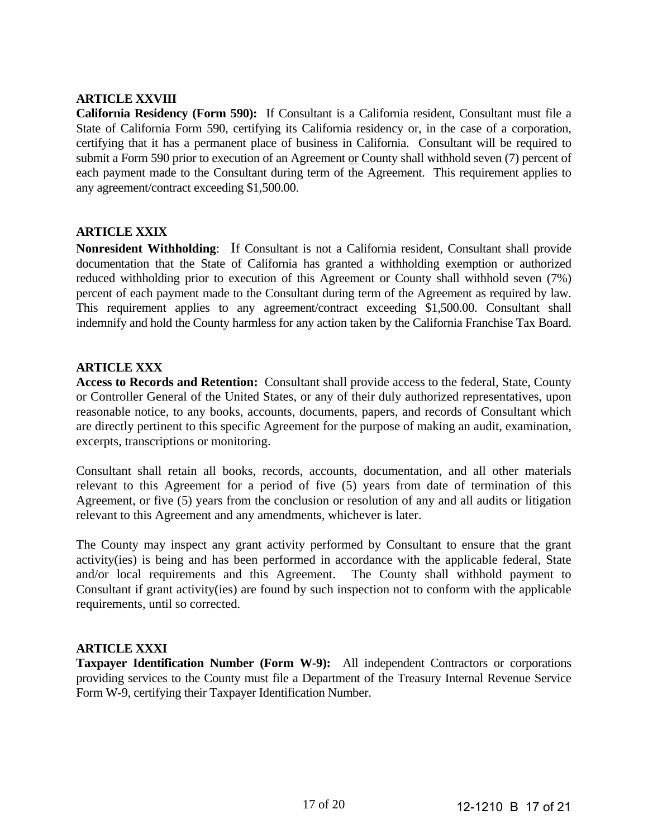### **ARTICLE XXVIII**

**California Residency (Form 590):** If Consultant is a California resident, Consultant must file a State of California Form 590, certifying its California residency or, in the case of a corporation, certifying that it has a permanent place of business in California. Consultant will be required to submit a Form 590 prior to execution of an Agreement or County shall withhold seven (7) percent of each payment made to the Consultant during term of the Agreement. This requirement applies to any agreement/contract exceeding \$1,500.00.

### **ARTICLE XXIX**

**Nonresident Withholding**: If Consultant is not a California resident, Consultant shall provide documentation that the State of California has granted a withholding exemption or authorized reduced withholding prior to execution of this Agreement or County shall withhold seven (7%) percent of each payment made to the Consultant during term of the Agreement as required by law. This requirement applies to any agreement/contract exceeding \$1,500.00. Consultant shall indemnify and hold the County harmless for any action taken by the California Franchise Tax Board.

# **ARTICLE XXX**

**Access to Records and Retention:** Consultant shall provide access to the federal, State, County or Controller General of the United States, or any of their duly authorized representatives, upon reasonable notice, to any books, accounts, documents, papers, and records of Consultant which are directly pertinent to this specific Agreement for the purpose of making an audit, examination, excerpts, transcriptions or monitoring.

Consultant shall retain all books, records, accounts, documentation, and all other materials relevant to this Agreement for a period of five (5) years from date of termination of this Agreement, or five (5) years from the conclusion or resolution of any and all audits or litigation relevant to this Agreement and any amendments, whichever is later.

The County may inspect any grant activity performed by Consultant to ensure that the grant activity(ies) is being and has been performed in accordance with the applicable federal, State and/or local requirements and this Agreement. The County shall withhold payment to Consultant if grant activity(ies) are found by such inspection not to conform with the applicable requirements, until so corrected.

#### **ARTICLE XXXI**

**Taxpayer Identification Number (Form W-9):** All independent Contractors or corporations providing services to the County must file a Department of the Treasury Internal Revenue Service Form W-9, certifying their Taxpayer Identification Number.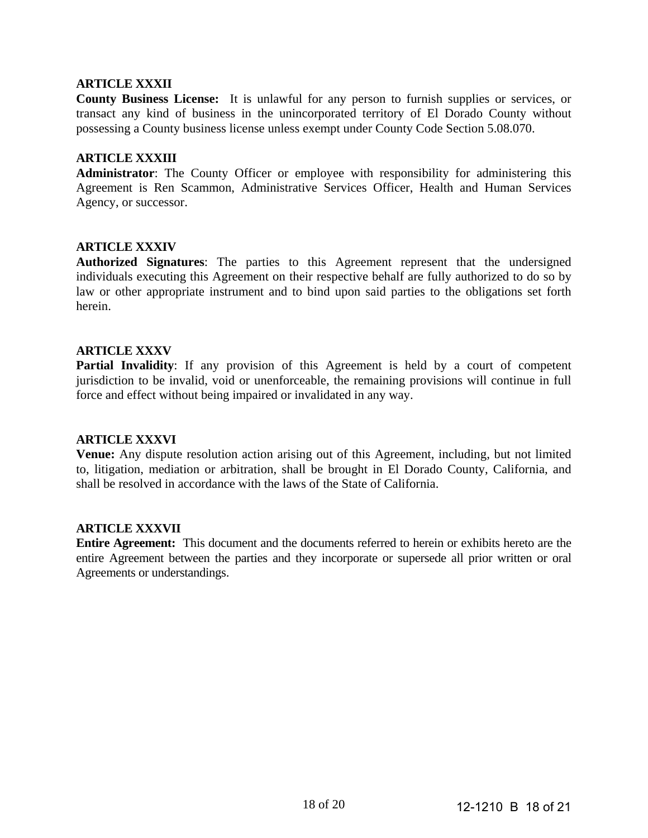#### **ARTICLE XXXII**

**County Business License:** It is unlawful for any person to furnish supplies or services, or transact any kind of business in the unincorporated territory of El Dorado County without possessing a County business license unless exempt under County Code Section 5.08.070.

### **ARTICLE XXXIII**

**Administrator**: The County Officer or employee with responsibility for administering this Agreement is Ren Scammon, Administrative Services Officer, Health and Human Services Agency, or successor.

#### **ARTICLE XXXIV**

**Authorized Signatures**: The parties to this Agreement represent that the undersigned individuals executing this Agreement on their respective behalf are fully authorized to do so by law or other appropriate instrument and to bind upon said parties to the obligations set forth herein.

### **ARTICLE XXXV**

**Partial Invalidity**: If any provision of this Agreement is held by a court of competent jurisdiction to be invalid, void or unenforceable, the remaining provisions will continue in full force and effect without being impaired or invalidated in any way.

#### **ARTICLE XXXVI**

**Venue:** Any dispute resolution action arising out of this Agreement, including, but not limited to, litigation, mediation or arbitration, shall be brought in El Dorado County, California, and shall be resolved in accordance with the laws of the State of California.

#### **ARTICLE XXXVII**

**Entire Agreement:** This document and the documents referred to herein or exhibits hereto are the entire Agreement between the parties and they incorporate or supersede all prior written or oral Agreements or understandings.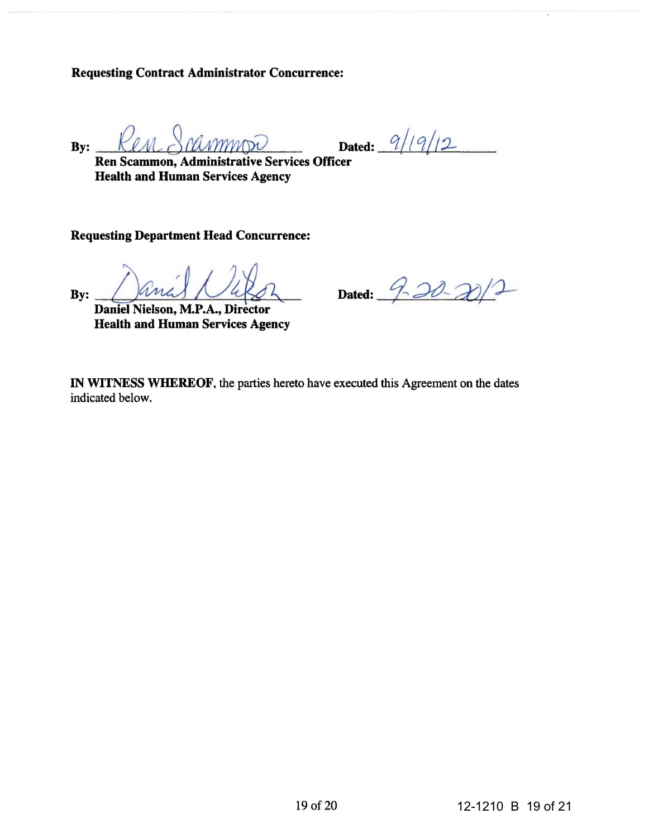Requesting Contract Administrator Concurrence:

 $By: \underline{\hspace{1cm}}\text{Ken}\ \text{Gamma} \ \text{Gamma} \ \text{P112}$ 

Ren Scammon, Administrative Services Officer Health and Human Services Agency

Requesting Department Head Concurrence:

By:

Daniel Nielson, M.P.A., Director Health and Human Services Agency

Dated: 9-20-20

IN WITNESS WHEREOF, the parties hereto have executed this Agreement on the dates indicated below.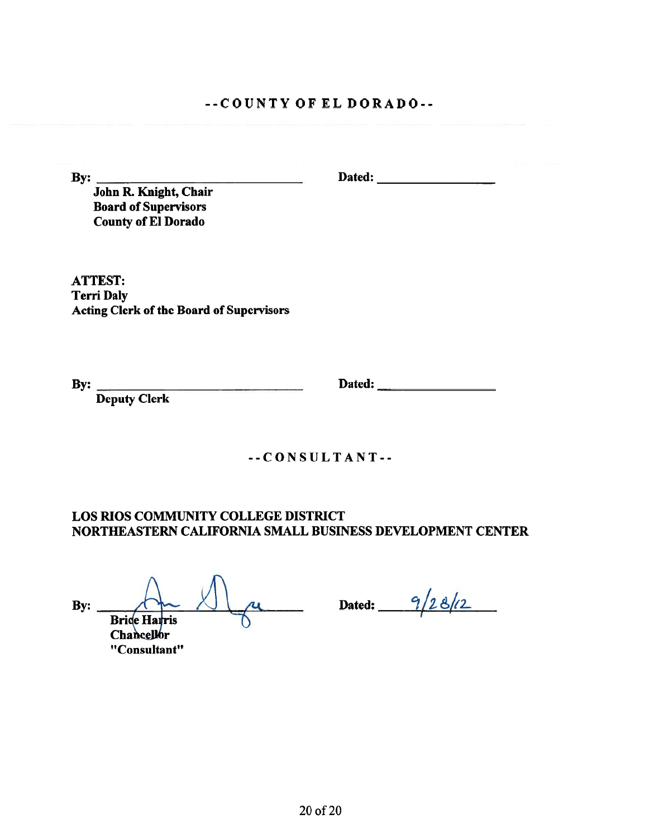# $-COUNTY$  OF EL DORADO--

By:

John R. Knight, Chair **Board of Supervisors County of El Dorado** 

**ATTEST: Terri Daly** Acting Clerk of the Board of Supervisors

By: Deputy Clerk

 $-$ -CONSULTANT $-$ 

**LOS RIOS COMMUNITY COLLEGE DISTRICT** NORTHEASTERN CALIFORNIA SMALL BUSINESS DEVELOPMENT CENTER

 $\mathbf{By:}$ **Brice Harris Chancellor** "Consultant"

ru Dated: 9/28/12